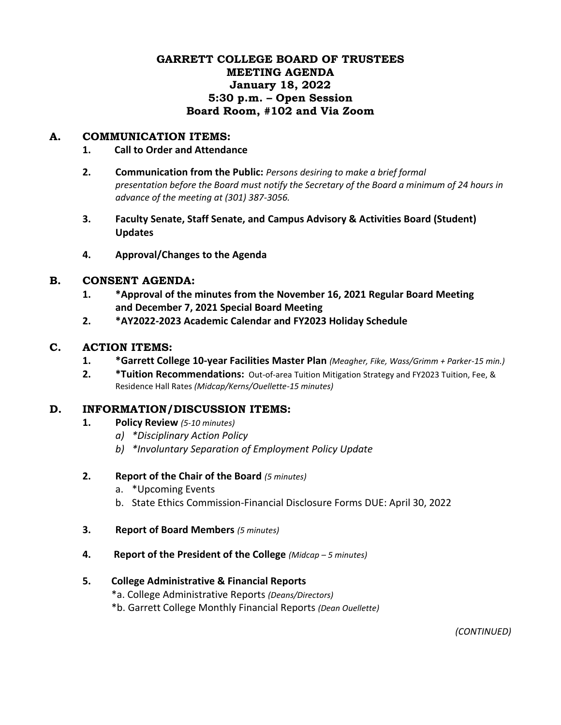## **GARRETT COLLEGE BOARD OF TRUSTEES MEETING AGENDA January 18, 2022 5:30 p.m. – Open Session Board Room, #102 and Via Zoom**

### **A. COMMUNICATION ITEMS:**

#### **1. Call to Order and Attendance**

- **2. Communication from the Public:** *Persons desiring to make a brief formal presentation before the Board must notify the Secretary of the Board a minimum of 24 hours in advance of the meeting at (301) 387-3056.*
- **3. Faculty Senate, Staff Senate, and Campus Advisory & Activities Board (Student) Updates**
- **4. Approval/Changes to the Agenda**

#### **B. CONSENT AGENDA:**

- **1. \*Approval of the minutes from the November 16, 2021 Regular Board Meeting and December 7, 2021 Special Board Meeting**
- **2. \*AY2022-2023 Academic Calendar and FY2023 Holiday Schedule**

#### **C. ACTION ITEMS:**

- **1. \*Garrett College 10-year Facilities Master Plan** *(Meagher, Fike, Wass/Grimm + Parker-15 min.)*
- **2. \*Tuition Recommendations:** Out-of-area Tuition Mitigation Strategy and FY2023 Tuition, Fee, & Residence Hall Rates *(Midcap/Kerns/Ouellette-15 minutes)*

## **D. INFORMATION/DISCUSSION ITEMS:**

- **1. Policy Review** *(5-10 minutes)*
	- *a) \*Disciplinary Action Policy*
	- *b) \*Involuntary Separation of Employment Policy Update*
- **2. Report of the Chair of the Board** *(5 minutes)*
	- a. \*Upcoming Events
	- b. State Ethics Commission-Financial Disclosure Forms DUE: April 30, 2022
- **3. Report of Board Members** *(5 minutes)*
- **4. Report of the President of the College** *(Midcap – 5 minutes)*

#### **5. College Administrative & Financial Reports**

- \*a. College Administrative Reports *(Deans/Directors)*
- \*b. Garrett College Monthly Financial Reports *(Dean Ouellette)*

*(CONTINUED)*